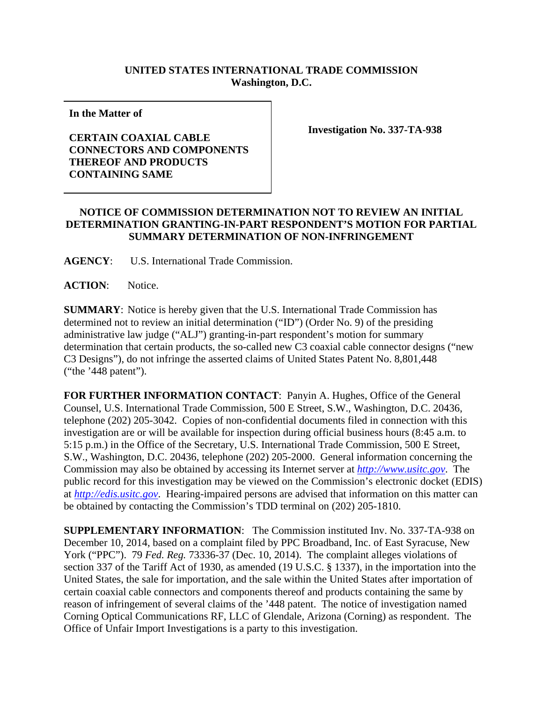## **UNITED STATES INTERNATIONAL TRADE COMMISSION Washington, D.C.**

**In the Matter of** 

## **CERTAIN COAXIAL CABLE CONNECTORS AND COMPONENTS THEREOF AND PRODUCTS CONTAINING SAME**

**Investigation No. 337-TA-938** 

## **NOTICE OF COMMISSION DETERMINATION NOT TO REVIEW AN INITIAL DETERMINATION GRANTING-IN-PART RESPONDENT'S MOTION FOR PARTIAL SUMMARY DETERMINATION OF NON-INFRINGEMENT**

**AGENCY**: U.S. International Trade Commission.

ACTION: Notice.

**SUMMARY**: Notice is hereby given that the U.S. International Trade Commission has determined not to review an initial determination ("ID") (Order No. 9) of the presiding administrative law judge ("ALJ") granting-in-part respondent's motion for summary determination that certain products, the so-called new C3 coaxial cable connector designs ("new C3 Designs"), do not infringe the asserted claims of United States Patent No. 8,801,448 ("the '448 patent").

**FOR FURTHER INFORMATION CONTACT**: Panyin A. Hughes, Office of the General Counsel, U.S. International Trade Commission, 500 E Street, S.W., Washington, D.C. 20436, telephone (202) 205-3042. Copies of non-confidential documents filed in connection with this investigation are or will be available for inspection during official business hours (8:45 a.m. to 5:15 p.m.) in the Office of the Secretary, U.S. International Trade Commission, 500 E Street, S.W., Washington, D.C. 20436, telephone (202) 205-2000. General information concerning the Commission may also be obtained by accessing its Internet server at *http://www.usitc.gov*. The public record for this investigation may be viewed on the Commission's electronic docket (EDIS) at *http://edis.usitc.gov*. Hearing-impaired persons are advised that information on this matter can be obtained by contacting the Commission's TDD terminal on (202) 205-1810.

**SUPPLEMENTARY INFORMATION**: The Commission instituted Inv. No. 337-TA-938 on December 10, 2014, based on a complaint filed by PPC Broadband, Inc. of East Syracuse, New York ("PPC"). 79 *Fed. Reg.* 73336-37 (Dec. 10, 2014). The complaint alleges violations of section 337 of the Tariff Act of 1930, as amended (19 U.S.C. § 1337), in the importation into the United States, the sale for importation, and the sale within the United States after importation of certain coaxial cable connectors and components thereof and products containing the same by reason of infringement of several claims of the '448 patent. The notice of investigation named Corning Optical Communications RF, LLC of Glendale, Arizona (Corning) as respondent. The Office of Unfair Import Investigations is a party to this investigation.